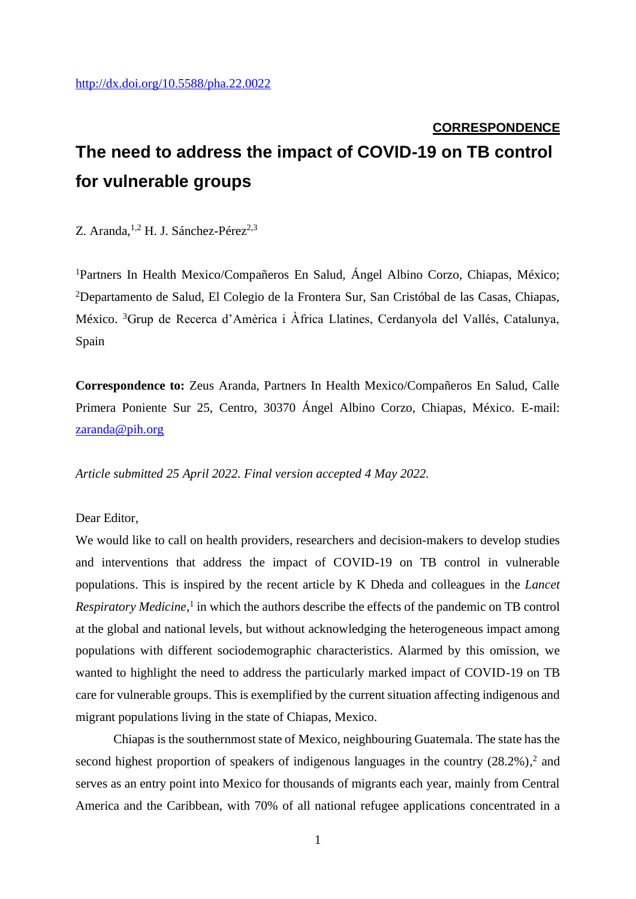## **CORRESPONDENCE The need to address the impact of COVID-19 on TB control for vulnerable groups**

Z. Aranda,  $^{1,2}$  H. J. Sánchez-Pérez<sup>2,3</sup>

<sup>1</sup>Partners In Health Mexico/Compañeros En Salud, Ángel Albino Corzo, Chiapas, México; <sup>2</sup>Departamento de Salud, El Colegio de la Frontera Sur, San Cristóbal de las Casas, Chiapas, México. <sup>3</sup>Grup de Recerca d'Amèrica i Àfrica Llatines, Cerdanyola del Vallés, Catalunya, Spain

**Correspondence to:** Zeus Aranda, Partners In Health Mexico/Compañeros En Salud, Calle Primera Poniente Sur 25, Centro, 30370 Ángel Albino Corzo, Chiapas, México. E-mail: [zaranda@pih.org](about:blank)

*Article submitted 25 April 2022. Final version accepted 4 May 2022.*

Dear Editor,

We would like to call on health providers, researchers and decision-makers to develop studies and interventions that address the impact of COVID-19 on TB control in vulnerable populations. This is inspired by the recent article by K Dheda and colleagues in the *Lancet*  Respiratory Medicine,<sup>1</sup> in which the authors describe the effects of the pandemic on TB control at the global and national levels, but without acknowledging the heterogeneous impact among populations with different sociodemographic characteristics. Alarmed by this omission, we wanted to highlight the need to address the particularly marked impact of COVID-19 on TB care for vulnerable groups. This is exemplified by the current situation affecting indigenous and migrant populations living in the state of Chiapas, Mexico.

Chiapas is the southernmost state of Mexico, neighbouring Guatemala. The state has the second highest proportion of speakers of indigenous languages in the country  $(28.2\%)$ ,<sup>2</sup> and serves as an entry point into Mexico for thousands of migrants each year, mainly from Central America and the Caribbean, with 70% of all national refugee applications concentrated in a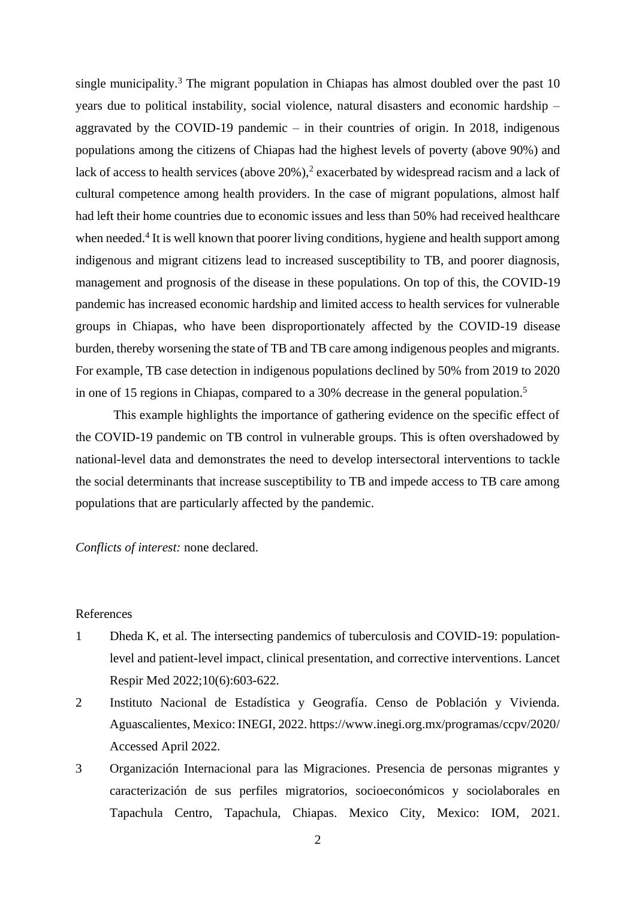single municipality.<sup>3</sup> The migrant population in Chiapas has almost doubled over the past  $10$ years due to political instability, social violence, natural disasters and economic hardship – aggravated by the COVID-19 pandemic – in their countries of origin. In 2018, indigenous populations among the citizens of Chiapas had the highest levels of poverty (above 90%) and lack of access to health services (above  $20\%$ ),<sup>2</sup> exacerbated by widespread racism and a lack of cultural competence among health providers. In the case of migrant populations, almost half had left their home countries due to economic issues and less than 50% had received healthcare when needed.<sup>4</sup> It is well known that poorer living conditions, hygiene and health support among indigenous and migrant citizens lead to increased susceptibility to TB, and poorer diagnosis, management and prognosis of the disease in these populations. On top of this, the COVID-19 pandemic has increased economic hardship and limited access to health services for vulnerable groups in Chiapas, who have been disproportionately affected by the COVID-19 disease burden, thereby worsening the state of TB and TB care among indigenous peoples and migrants. For example, TB case detection in indigenous populations declined by 50% from 2019 to 2020 in one of 15 regions in Chiapas, compared to a 30% decrease in the general population.<sup>5</sup>

This example highlights the importance of gathering evidence on the specific effect of the COVID-19 pandemic on TB control in vulnerable groups. This is often overshadowed by national-level data and demonstrates the need to develop intersectoral interventions to tackle the social determinants that increase susceptibility to TB and impede access to TB care among populations that are particularly affected by the pandemic.

*Conflicts of interest:* none declared.

## References

- 1 Dheda K, et al. The intersecting pandemics of tuberculosis and COVID-19: populationlevel and patient-level impact, clinical presentation, and corrective interventions. Lancet Respir Med 2022;10(6):603-622.
- 2 Instituto Nacional de Estadística y Geografía. Censo de Población y Vivienda. Aguascalientes, Mexico: INEGI, 2022. https://www.inegi.org.mx/programas/ccpv/2020/ Accessed April 2022.
- 3 Organización Internacional para las Migraciones. Presencia de personas migrantes y caracterización de sus perfiles migratorios, socioeconómicos y sociolaborales en Tapachula Centro, Tapachula, Chiapas. Mexico City, Mexico: IOM, 2021.